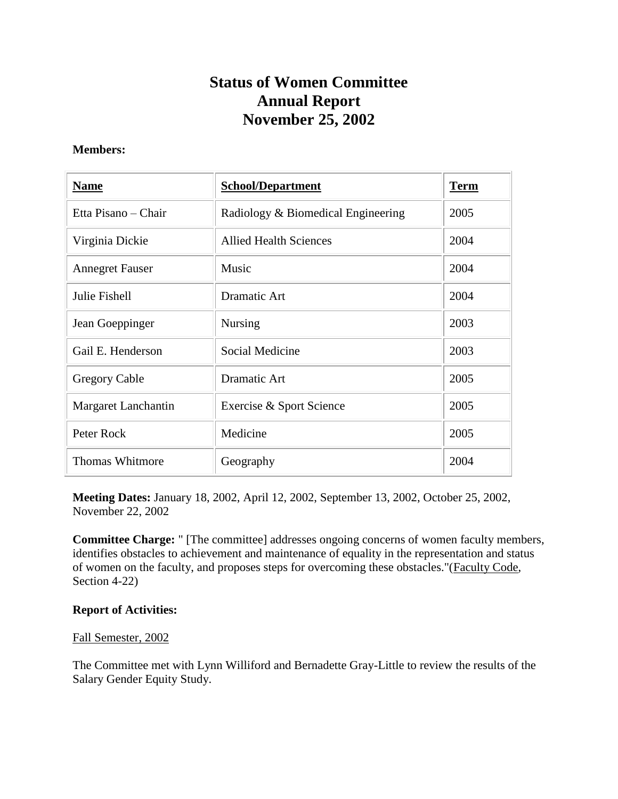## **Status of Women Committee Annual Report November 25, 2002**

## **Members:**

| <b>Name</b>            | <b>School/Department</b>           | <b>Term</b> |
|------------------------|------------------------------------|-------------|
| Etta Pisano – Chair    | Radiology & Biomedical Engineering | 2005        |
| Virginia Dickie        | <b>Allied Health Sciences</b>      | 2004        |
| <b>Annegret Fauser</b> | Music                              | 2004        |
| Julie Fishell          | Dramatic Art                       | 2004        |
| Jean Goeppinger        | <b>Nursing</b>                     | 2003        |
| Gail E. Henderson      | Social Medicine                    | 2003        |
| <b>Gregory Cable</b>   | Dramatic Art                       | 2005        |
| Margaret Lanchantin    | Exercise & Sport Science           | 2005        |
| Peter Rock             | Medicine                           | 2005        |
| <b>Thomas Whitmore</b> | Geography                          | 2004        |

**Meeting Dates:** January 18, 2002, April 12, 2002, September 13, 2002, October 25, 2002, November 22, 2002

**Committee Charge:** " [The committee] addresses ongoing concerns of women faculty members, identifies obstacles to achievement and maintenance of equality in the representation and status of women on the faculty, and proposes steps for overcoming these obstacles."(Faculty Code, Section 4-22)

## **Report of Activities:**

## Fall Semester, 2002

The Committee met with Lynn Williford and Bernadette Gray-Little to review the results of the Salary Gender Equity Study.